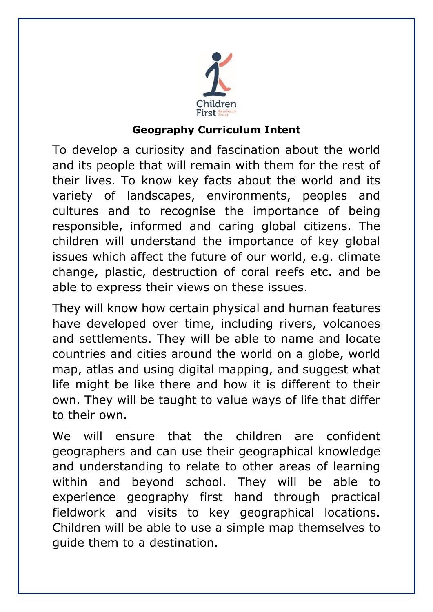

# **Geography Curriculum Intent**

To develop a curiosity and fascination about the world and its people that will remain with them for the rest of their lives. To know key facts about the world and its variety of landscapes, environments, peoples and cultures and to recognise the importance of being responsible, informed and caring global citizens. The children will understand the importance of key global issues which affect the future of our world, e.g. climate change, plastic, destruction of coral reefs etc. and be able to express their views on these issues.

They will know how certain physical and human features have developed over time, including rivers, volcanoes and settlements. They will be able to name and locate countries and cities around the world on a globe, world map, atlas and using digital mapping, and suggest what life might be like there and how it is different to their own. They will be taught to value ways of life that differ to their own.

We will ensure that the children are confident geographers and can use their geographical knowledge and understanding to relate to other areas of learning within and beyond school. They will be able to experience geography first hand through practical fieldwork and visits to key geographical locations. Children will be able to use a simple map themselves to guide them to a destination.